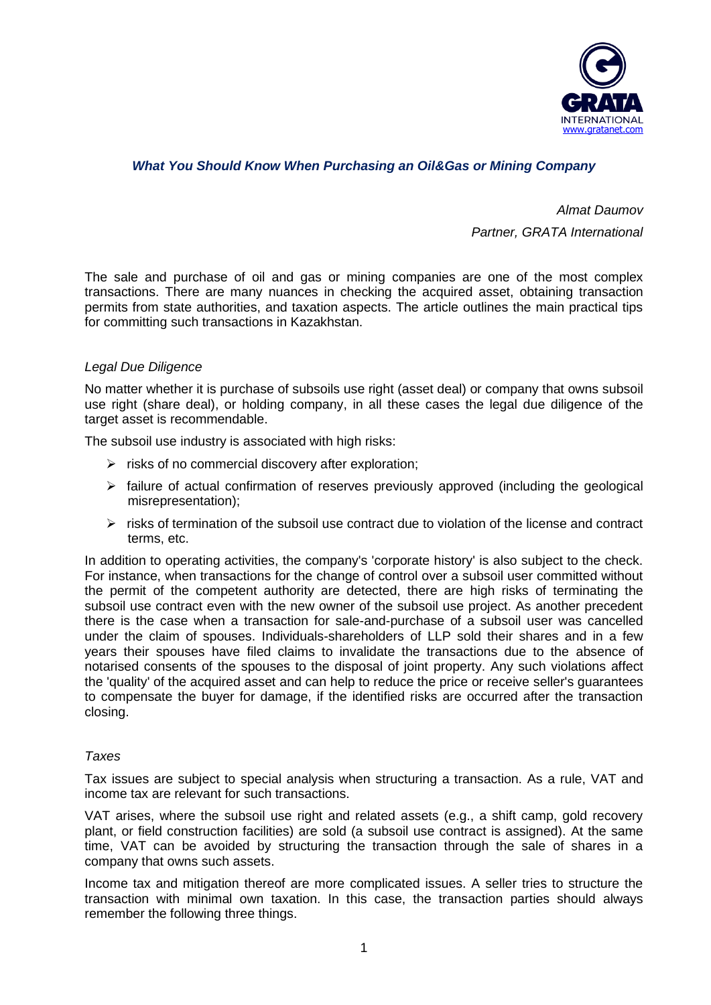

# *What You Should Know When Purchasing an Oil&Gas or Mining Company*

*Almat Daumov Partner, GRATA International*

The sale and purchase of oil and gas or mining companies are one of the most complex transactions. There are many nuances in checking the acquired asset, obtaining transaction permits from state authorities, and taxation aspects. The article outlines the main practical tips for committing such transactions in Kazakhstan.

## *Legal Due Diligence*

No matter whether it is purchase of subsoils use right (asset deal) or company that owns subsoil use right (share deal), or holding company, in all these cases the legal due diligence of the target asset is recommendable.

The subsoil use industry is associated with high risks:

- ➢ risks of no commercial discovery after exploration;
- $\triangleright$  failure of actual confirmation of reserves previously approved (including the geological misrepresentation);
- $\triangleright$  risks of termination of the subsoil use contract due to violation of the license and contract terms, etc.

In addition to operating activities, the company's 'corporate history' is also subject to the check. For instance, when transactions for the change of control over a subsoil user committed without the permit of the competent authority are detected, there are high risks of terminating the subsoil use contract even with the new owner of the subsoil use project. As another precedent there is the case when a transaction for sale-and-purchase of a subsoil user was cancelled under the claim of spouses. Individuals-shareholders of LLP sold their shares and in a few years their spouses have filed claims to invalidate the transactions due to the absence of notarised consents of the spouses to the disposal of joint property. Any such violations affect the 'quality' of the acquired asset and can help to reduce the price or receive seller's guarantees to compensate the buyer for damage, if the identified risks are occurred after the transaction closing.

#### *Taxes*

Tax issues are subject to special analysis when structuring a transaction. As a rule, VAT and income tax are relevant for such transactions.

VAT arises, where the subsoil use right and related assets (e.g., a shift camp, gold recovery plant, or field construction facilities) are sold (a subsoil use contract is assigned). At the same time, VAT can be avoided by structuring the transaction through the sale of shares in a company that owns such assets.

Income tax and mitigation thereof are more complicated issues. A seller tries to structure the transaction with minimal own taxation. In this case, the transaction parties should always remember the following three things.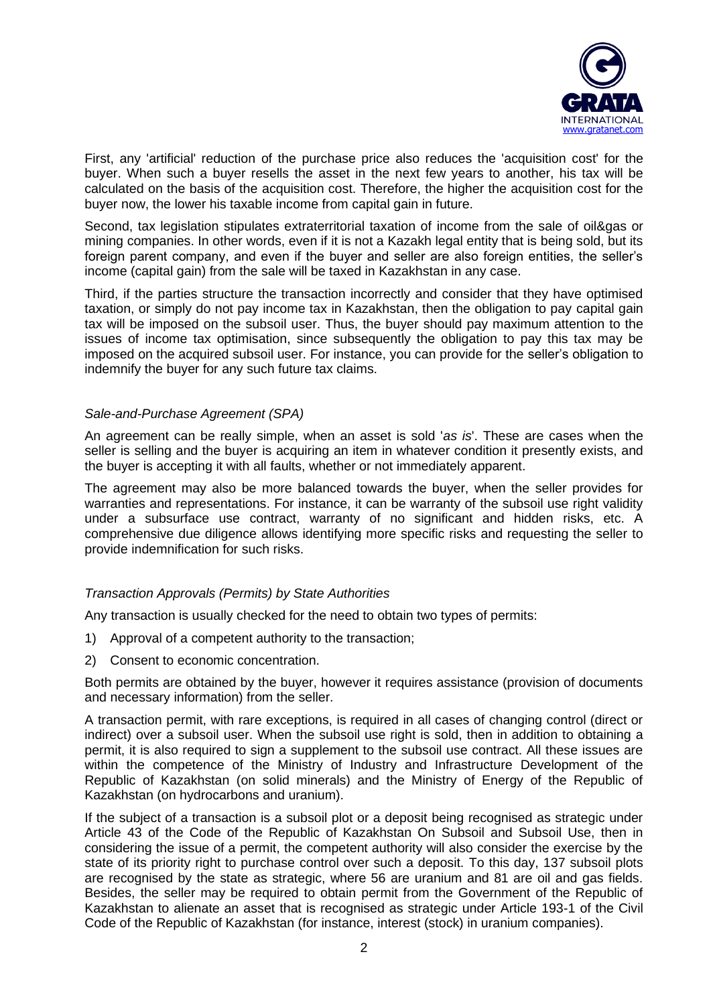

First, any 'artificial' reduction of the purchase price also reduces the 'acquisition cost' for the buyer. When such a buyer resells the asset in the next few years to another, his tax will be calculated on the basis of the acquisition cost. Therefore, the higher the acquisition cost for the buyer now, the lower his taxable income from capital gain in future.

Second, tax legislation stipulates extraterritorial taxation of income from the sale of oil&gas or mining companies. In other words, even if it is not a Kazakh legal entity that is being sold, but its foreign parent company, and even if the buyer and seller are also foreign entities, the seller's income (capital gain) from the sale will be taxed in Kazakhstan in any case.

Third, if the parties structure the transaction incorrectly and consider that they have optimised taxation, or simply do not pay income tax in Kazakhstan, then the obligation to pay capital gain tax will be imposed on the subsoil user. Thus, the buyer should pay maximum attention to the issues of income tax optimisation, since subsequently the obligation to pay this tax may be imposed on the acquired subsoil user. For instance, you can provide for the seller's obligation to indemnify the buyer for any such future tax claims.

## *Sale-and-Purchase Agreement (SPA)*

An agreement can be really simple, when an asset is sold '*as is*'. These are cases when the seller is selling and the buyer is acquiring an item in whatever condition it presently exists, and the buyer is accepting it with all faults, whether or not immediately apparent.

The agreement may also be more balanced towards the buyer, when the seller provides for warranties and representations. For instance, it can be warranty of the subsoil use right validity under a subsurface use contract, warranty of no significant and hidden risks, etc. A comprehensive due diligence allows identifying more specific risks and requesting the seller to provide indemnification for such risks.

## *Transaction Approvals (Permits) by State Authorities*

Any transaction is usually checked for the need to obtain two types of permits:

- 1) Approval of a competent authority to the transaction;
- 2) Consent to economic concentration.

Both permits are obtained by the buyer, however it requires assistance (provision of documents and necessary information) from the seller.

A transaction permit, with rare exceptions, is required in all cases of changing control (direct or indirect) over a subsoil user. When the subsoil use right is sold, then in addition to obtaining a permit, it is also required to sign a supplement to the subsoil use contract. All these issues are within the competence of the Ministry of Industry and Infrastructure Development of the Republic of Kazakhstan (on solid minerals) and the Ministry of Energy of the Republic of Kazakhstan (on hydrocarbons and uranium).

If the subject of a transaction is a subsoil plot or a deposit being recognised as strategic under Article 43 of the Code of the Republic of Kazakhstan On Subsoil and Subsoil Use, then in considering the issue of a permit, the competent authority will also consider the exercise by the state of its priority right to purchase control over such a deposit. To this day, 137 subsoil plots are recognised by the state as strategic, where 56 are uranium and 81 are oil and gas fields. Besides, the seller may be required to obtain permit from the Government of the Republic of Kazakhstan to alienate an asset that is recognised as strategic under Article 193-1 of the Civil Code of the Republic of Kazakhstan (for instance, interest (stock) in uranium companies).